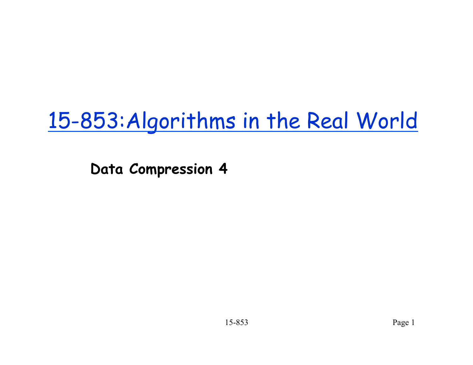# 15-853:Algorithms in the Real World

**Data Compression 4**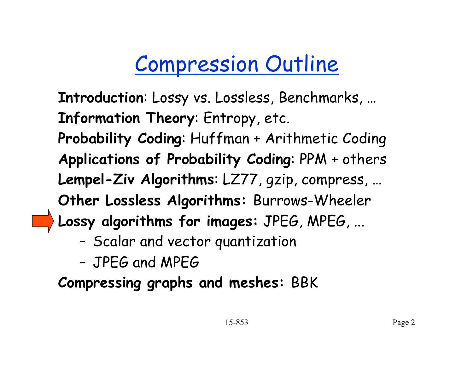# Compression Outline

**Introduction**: Lossy vs. Lossless, Benchmarks, … **Information Theory**: Entropy, etc. **Probability Coding**: Huffman + Arithmetic Coding **Applications of Probability Coding**: PPM + others **Lempel-Ziv Algorithms**: LZ77, gzip, compress, … **Other Lossless Algorithms:** Burrows-Wheeler **Lossy algorithms for images:** JPEG, MPEG, ...

- Scalar and vector quantization
- JPEG and MPEG

**Compressing graphs and meshes:** BBK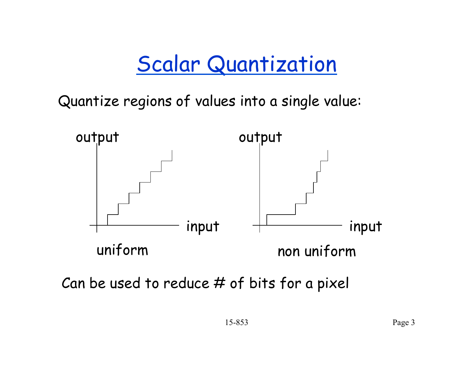### Scalar Quantization

Quantize regions of values into a single value:



Can be used to reduce # of bits for a pixel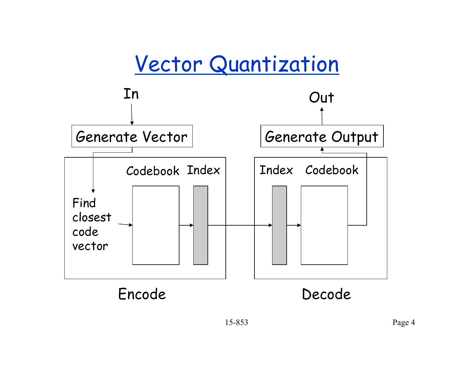#### Vector Quantization

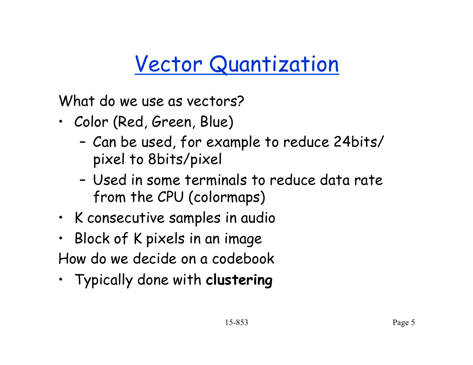# Vector Quantization

What do we use as vectors?

- Color (Red, Green, Blue)
	- Can be used, for example to reduce 24bits/ pixel to 8bits/pixel
	- Used in some terminals to reduce data rate from the CPU (colormaps)
- K consecutive samples in audio
- Block of K pixels in an image How do we decide on a codebook
- Typically done with **clustering**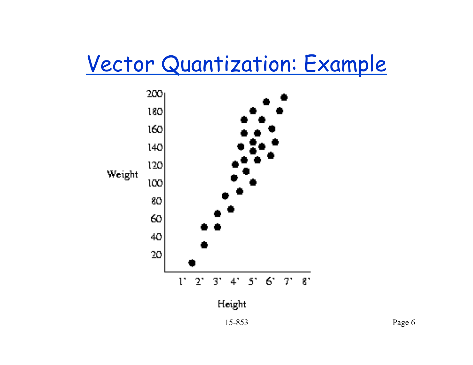#### Vector Quantization: Example

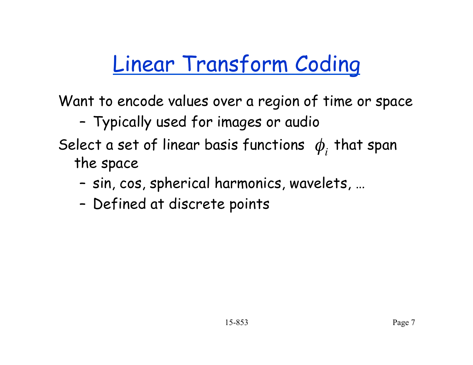# Linear Transform Coding

Want to encode values over a region of time or space

#### – Typically used for images or audio

#### Select a set of linear basis functions  $\phi_i$  that span the space

- sin, cos, spherical harmonics, wavelets, …
- Defined at discrete points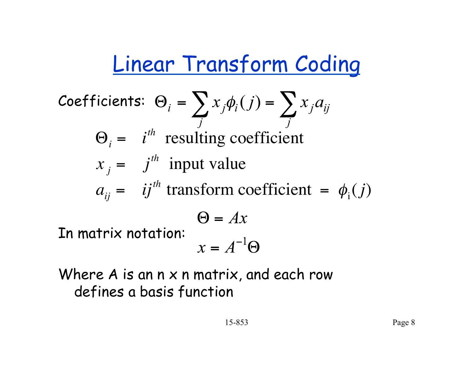# Linear Transform Coding

**Coefficients:** 
$$
\Theta_i = \sum_j x_j \phi_i(j) = \sum_j x_j a_{ij}
$$

\n $\Theta_i = i^{th}$  resulting coefficient

\n $x_j = j^{th}$  input value

\n $a_{ij} = i j^{th}$  transform coefficient =  $\phi_i(j)$ 

\n $\Theta = Ax$ 

\n**In matrix notation:**  $x = A^{-1} \Theta$ 

Where A is an n x n matrix, and each row defines a basis function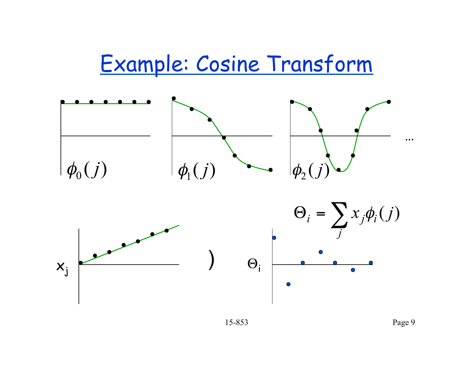#### Example: Cosine Transform

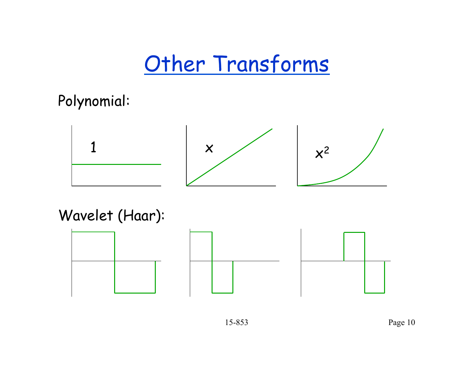#### Other Transforms

Polynomial:



Wavelet (Haar):

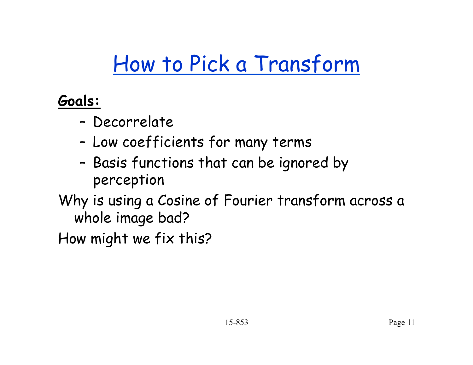# How to Pick a Transform

**Goals:** 

- Decorrelate
- Low coefficients for many terms
- Basis functions that can be ignored by perception
- Why is using a Cosine of Fourier transform across a whole image bad?

How might we fix this?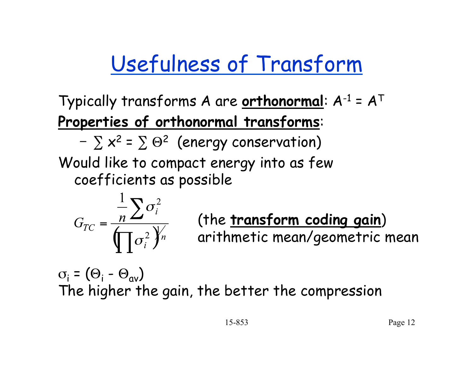# Usefulness of Transform

Typically transforms A are **orthonormal**: A-1 = AT **Properties of orthonormal transforms**:

 $-\sum x^2 = \sum \Theta^2$  (energy conservation)

Would like to compact energy into as few coefficients as possible

$$
G_{TC} = \frac{\frac{1}{n} \sum \sigma_i^2}{\prod \sigma_i^2 y_n^2}
$$

(the **transform coding gain**) arithmetic mean/geometric mean

 $\sigma_i = (\Theta_i - \Theta_{av})$ The higher the gain, the better the compression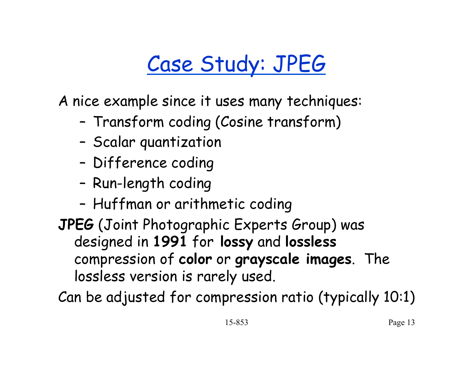# Case Study: JPEG

A nice example since it uses many techniques:

- Transform coding (Cosine transform)
- Scalar quantization
- Difference coding
- Run-length coding
- Huffman or arithmetic coding
- **JPEG** (Joint Photographic Experts Group) was designed in **1991** for **lossy** and **lossless** compression of **color** or **grayscale images**. The lossless version is rarely used.

Can be adjusted for compression ratio (typically 10:1)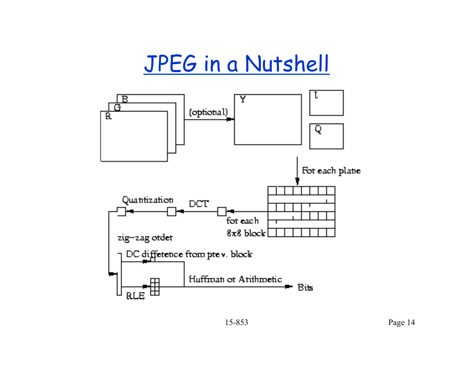## JPEG in a Nutshell

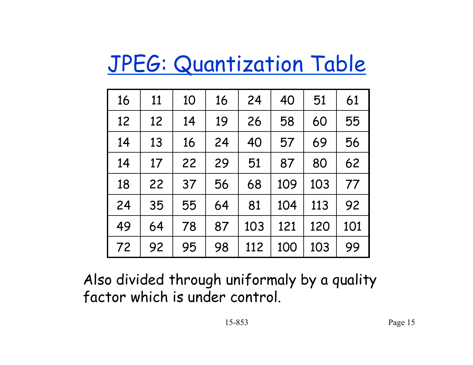# JPEG: Quantization Table

| 16 | 11 | 10 | 16 | 24  | 40  | 51  | 61  |
|----|----|----|----|-----|-----|-----|-----|
| 12 | 12 | 14 | 19 | 26  | 58  | 60  | 55  |
| 14 | 13 | 16 | 24 | 40  | 57  | 69  | 56  |
| 14 | 17 | 22 | 29 | 51  | 87  | 80  | 62  |
| 18 | 22 | 37 | 56 | 68  | 109 | 103 | 77  |
| 24 | 35 | 55 | 64 | 81  | 104 | 113 | 92  |
| 49 | 64 | 78 | 87 | 103 | 121 | 120 | 101 |
| 72 | 92 | 95 | 98 | 112 | 100 | 103 | 99  |

Also divided through uniformaly by a quality factor which is under control.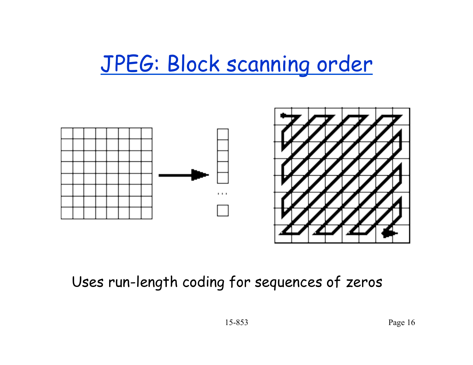## JPEG: Block scanning order



#### Uses run-length coding for sequences of zeros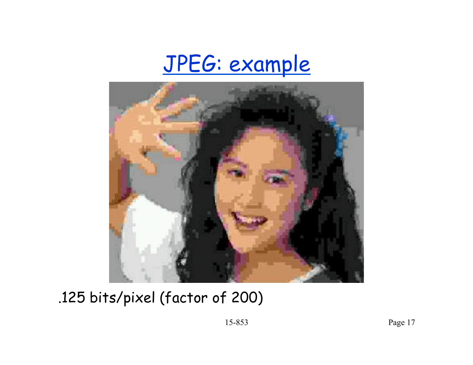



.125 bits/pixel (factor of 200)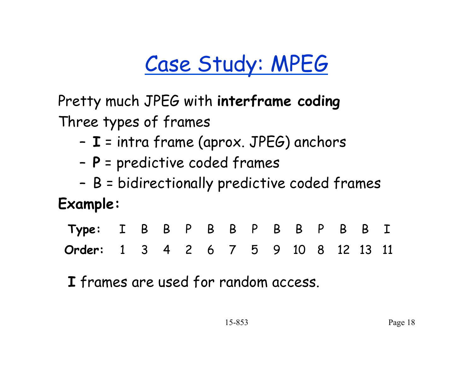# Case Study: MPEG

Pretty much JPEG with **interframe coding** Three types of frames

- **I** = intra frame (aprox. JPEG) anchors
- **P** = predictive coded frames
- B = bidirectionally predictive coded frames

#### **Example:**

| Type: I B B P B B P B B B I          |  |  |  |  |  |  |  |
|--------------------------------------|--|--|--|--|--|--|--|
| Order: 1 3 4 2 6 7 5 9 10 8 12 13 11 |  |  |  |  |  |  |  |

**I** frames are used for random access.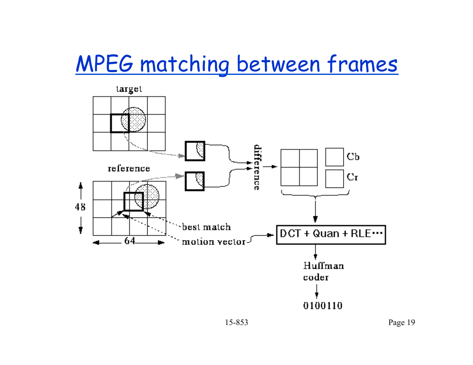## MPEG matching between frames



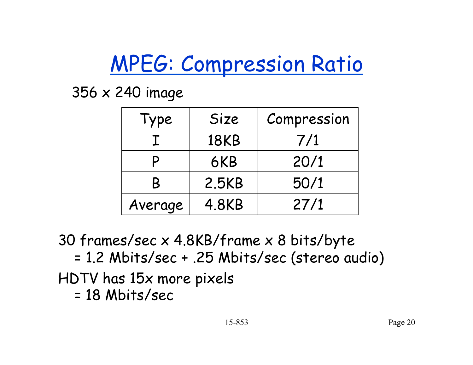# MPEG: Compression Ratio

356 x 240 image

| Type    | Size        | Compression |
|---------|-------------|-------------|
|         | <b>18KB</b> | 7/1         |
|         | 6KB         | 20/1        |
| B       | 2.5KB       | 50/1        |
| Average | 4.8KB       | 27/1        |

30 frames/sec x 4.8KB/frame x 8 bits/byte

= 1.2 Mbits/sec + .25 Mbits/sec (stereo audio) HDTV has 15x more pixels

= 18 Mbits/sec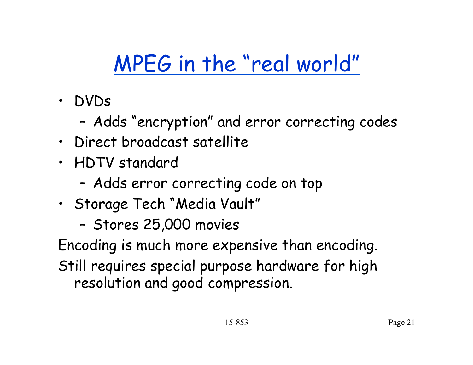# MPEG in the "real world"

- DVDs
	- Adds "encryption" and error correcting codes
- Direct broadcast satellite
- HDTV standard
	- Adds error correcting code on top
- Storage Tech "Media Vault"
	- Stores 25,000 movies

Encoding is much more expensive than encoding. Still requires special purpose hardware for high resolution and good compression.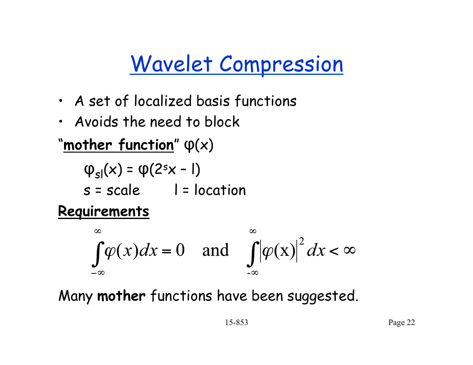## Wavelet Compression

- A set of localized basis functions
- Avoids the need to block

#### "**mother function**" φ(x)

$$
\varphi_{sl}(x) = \varphi(2^s x - 1)
$$
  
s = scale 1 = location

#### **Requirements**

$$
\int_{-\infty}^{\infty} \varphi(x) dx = 0 \quad \text{and} \quad \int_{-\infty}^{\infty} |\varphi(x)|^2 dx < \infty
$$

Many **mother** functions have been suggested.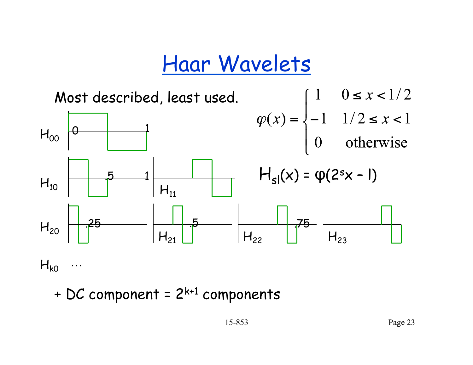#### Haar Wavelets



+ DC component =  $2^{k+1}$  components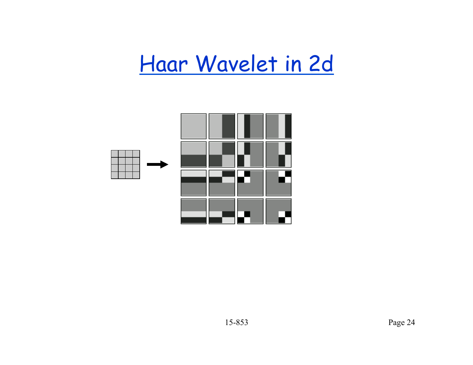## Haar Wavelet in 2d

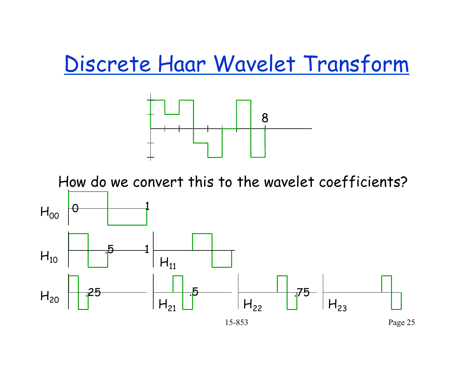#### Discrete Haar Wavelet Transform



How do we convert this to the wavelet coefficients?

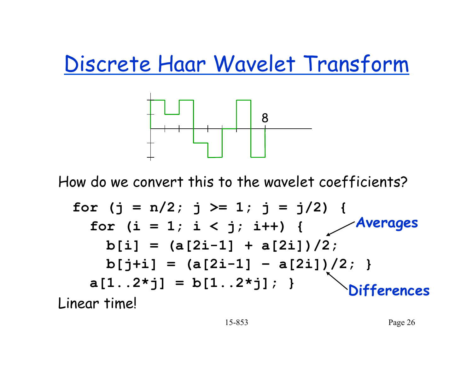Discrete Haar Wavelet Transform



How do we convert this to the wavelet coefficients?

$$
\begin{array}{ll}\n\text{for } (j = n/2; j >= 1; j = j/2) \\
\text{for } (i = 1; i < j; i++) {\text{Averages} } \\
\text{b[i] = (a[2i-1] + a[2i])/2;} \\
\text{b[j+i] = (a[2i-1] - a[2i])/2;} \\
\text{a[1..2*j] = b[1..2*j];} \n\end{array}
$$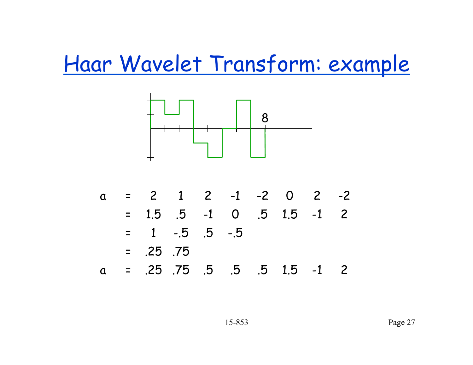Haar Wavelet Transform: example



| Q |          |               | $= 2$ 1 2 -1 -2 0 2 -2              |      |                   |  |
|---|----------|---------------|-------------------------------------|------|-------------------|--|
|   | $\equiv$ |               | $1.5$ $.5$ $-1$ 0 $.5$ $1.5$ $-1$ 2 |      |                   |  |
|   |          |               | $= 1 - 5$ .5                        | $-5$ |                   |  |
|   |          | $= 0.25$ . 75 |                                     |      |                   |  |
| a |          |               | = .25 .75 .5                        | .5   | $.5$ $1.5$ $-1$ 2 |  |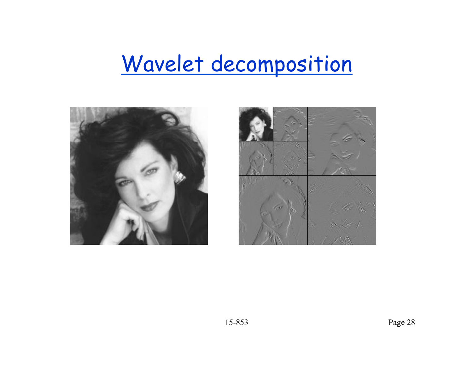# Wavelet decomposition



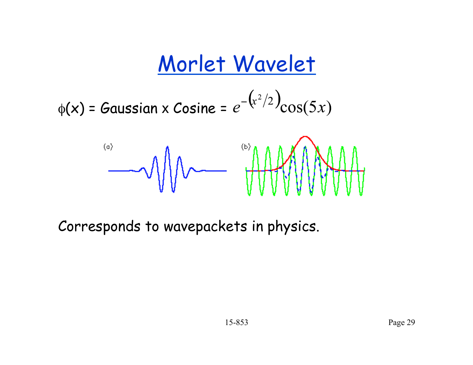# Morlet Wavelet

$$
\phi(\mathbf{x}) = \mathbf{Gaussian} \times \mathbf{Cosine} = e^{-\left(\frac{x^2}{2}\right)} \cos(5x)
$$



Corresponds to wavepackets in physics.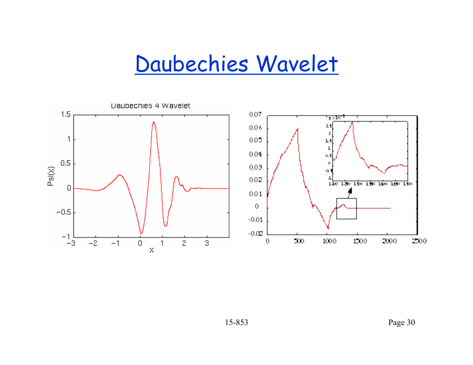### Daubechies Wavelet

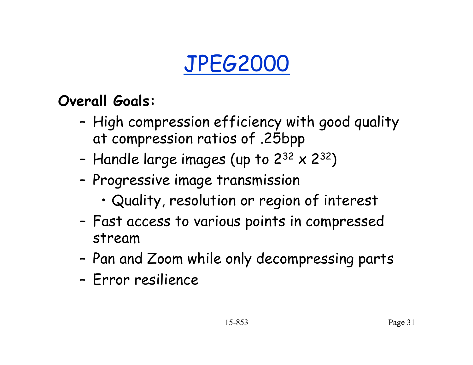# JPEG2000

#### **Overall Goals:**

- High compression efficiency with good quality at compression ratios of .25bpp
- Handle large images (up to  $2^{32} \times 2^{32}$ )
- Progressive image transmission
	- Quality, resolution or region of interest
- Fast access to various points in compressed stream
- Pan and Zoom while only decompressing parts
- Error resilience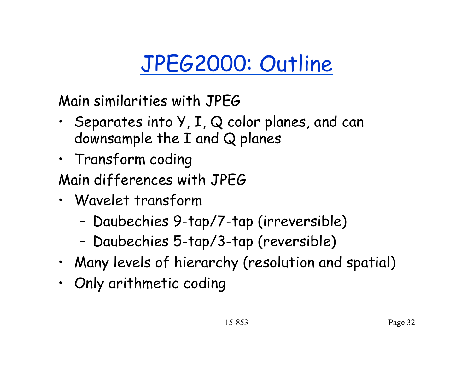# JPEG2000: Outline

Main similarities with JPEG

- Separates into Y, I, Q color planes, and can downsample the I and Q planes
- Transform coding
- Main differences with JPEG
- Wavelet transform
	- Daubechies 9-tap/7-tap (irreversible)
	- Daubechies 5-tap/3-tap (reversible)
- Many levels of hierarchy (resolution and spatial)
- Only arithmetic coding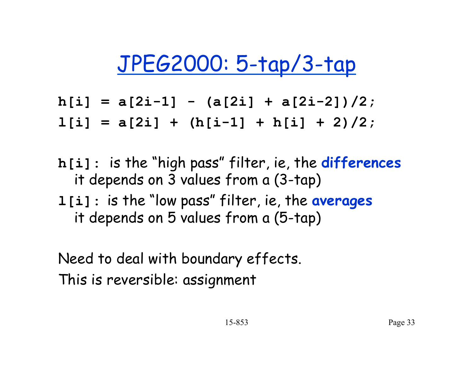# JPEG2000: 5-tap/3-tap

- **h[i] = a[2i-1] (a[2i] + a[2i-2])/2;**
- **l[i] = a[2i] + (h[i-1] + h[i] + 2)/2;**
- **h[i]:** is the "high pass" filter, ie, the **differences** it depends on 3 values from a (3-tap) **l[i]:** is the "low pass" filter, ie, the **averages** it depends on 5 values from a (5-tap)

Need to deal with boundary effects. This is reversible: assignment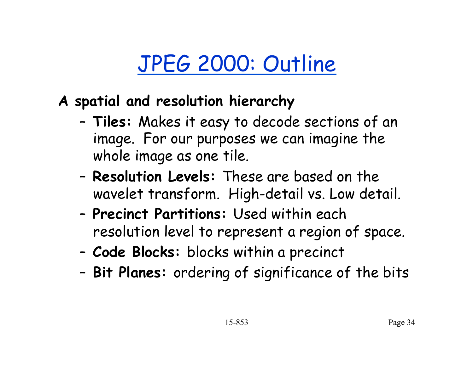# JPEG 2000: Outline

- **A spatial and resolution hierarchy** 
	- **Tiles:** Makes it easy to decode sections of an image. For our purposes we can imagine the whole image as one tile.
	- **Resolution Levels:** These are based on the wavelet transform. High-detail vs. Low detail.
	- **Precinct Partitions:** Used within each resolution level to represent a region of space.
	- **Code Blocks:** blocks within a precinct
	- **Bit Planes:** ordering of significance of the bits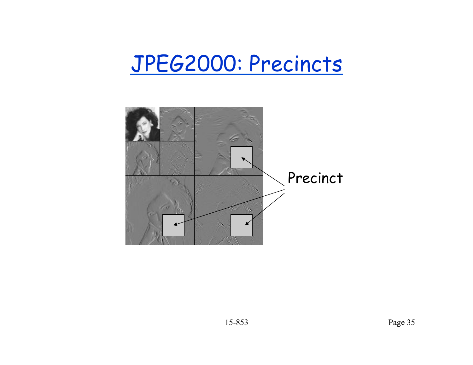### JPEG2000: Precincts

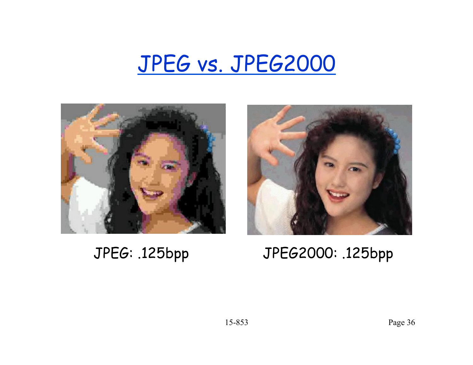### JPEG vs. JPEG2000





#### JPEG: .125bpp JPEG2000: .125bpp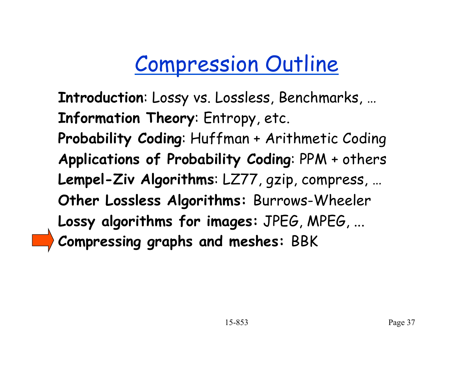# Compression Outline

**Introduction**: Lossy vs. Lossless, Benchmarks, … **Information Theory**: Entropy, etc. **Probability Coding**: Huffman + Arithmetic Coding **Applications of Probability Coding**: PPM + others **Lempel-Ziv Algorithms**: LZ77, gzip, compress, … **Other Lossless Algorithms:** Burrows-Wheeler **Lossy algorithms for images:** JPEG, MPEG, ... **Compressing graphs and meshes:** BBK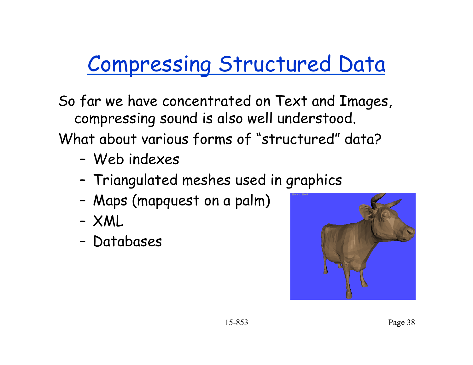# Compressing Structured Data

So far we have concentrated on Text and Images, compressing sound is also well understood. What about various forms of "structured" data?

- Web indexes
- Triangulated meshes used in graphics
- Maps (mapquest on a palm)
- XML
- Databases

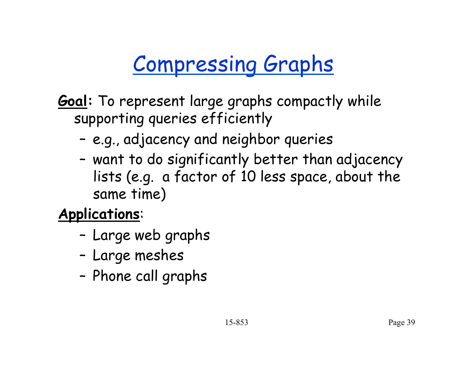# Compressing Graphs

- **Goal:** To represent large graphs compactly while supporting queries efficiently
	- e.g., adjacency and neighbor queries
	- want to do significantly better than adjacency lists (e.g. a factor of 10 less space, about the same time)

**Applications**:

- Large web graphs
- Large meshes
- Phone call graphs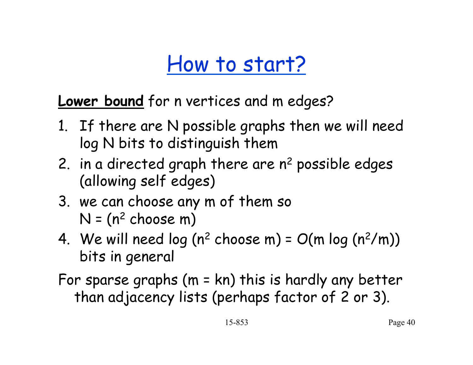### How to start?

**Lower bound** for n vertices and m edges?

- 1. If there are N possible graphs then we will need log N bits to distinguish them
- 2. in a directed graph there are  $n^2$  possible edges (allowing self edges)
- 3. we can choose any m of them so  $N = (n^2 \text{ choose } m)$
- 4. We will need log  $(n^2 \text{ choose } m) = O(m \log (n^2/m))$ bits in general
- For sparse graphs (m = kn) this is hardly any better than adjacency lists (perhaps factor of 2 or 3).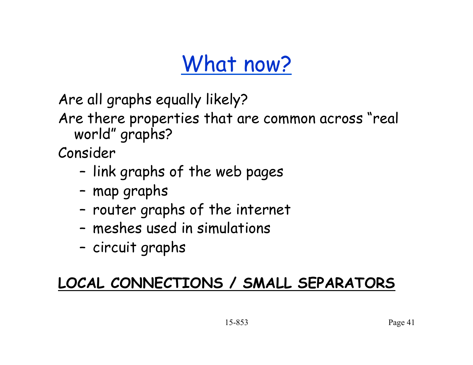# What now?

Are all graphs equally likely?

Are there properties that are common across "real world" graphs?

Consider

- link graphs of the web pages
- map graphs
- router graphs of the internet
- meshes used in simulations
- circuit graphs

#### **LOCAL CONNECTIONS / SMALL SEPARATORS**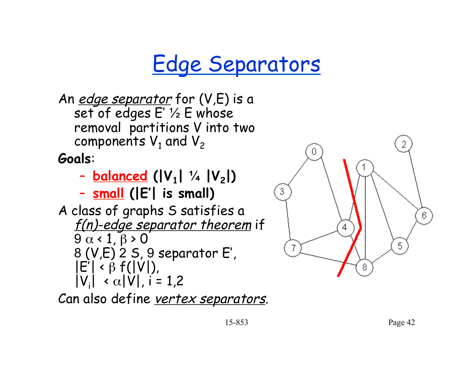# Edge Separators

An *edge separator* for (V,E) is a set of edges E' ½ E whose removal partitions V into two components  $V_1$  and  $V_2$ 

**Goals**:

- **balanced (|V1| ¼ |V2|)**
- **small (|E'| is small)**

A class of graphs S satisfies a f(n)-edge separator theorem if  $9 \alpha < 1, \beta > 0$ 8 (V,E) 2 S, 9 separator E',  $|E'| \triangleleft \beta f(|V|)$ ,  $|V_i| \propto \alpha |V|$ , i = 1,2

Can also define vertex separators.

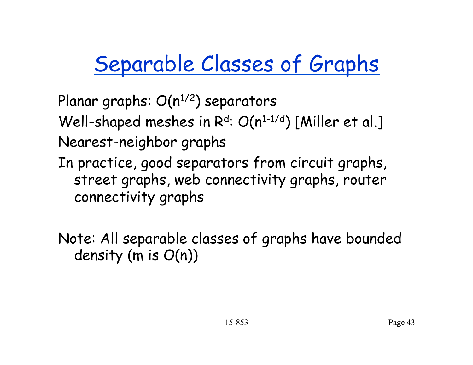# Separable Classes of Graphs

Planar graphs:  $O(n^{1/2})$  separators Well-shaped meshes in  $R<sup>d</sup>$ :  $O(n<sup>1-1/d</sup>)$  [Miller et al.] Nearest-neighbor graphs In practice, good separators from circuit graphs, street graphs, web connectivity graphs, router connectivity graphs

Note: All separable classes of graphs have bounded density (m is O(n))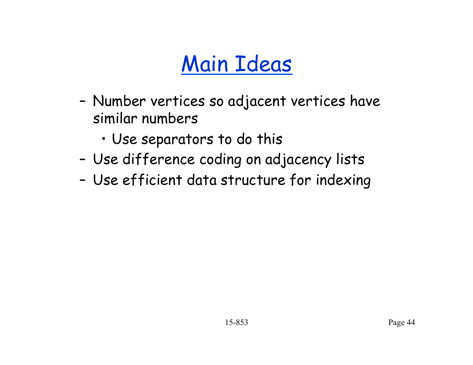# Main Ideas

- Number vertices so adjacent vertices have similar numbers
	- Use separators to do this
- Use difference coding on adjacency lists
- Use efficient data structure for indexing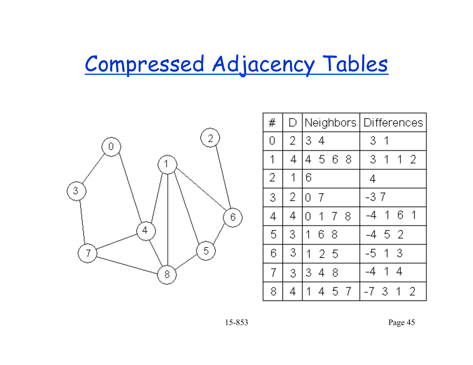# Compressed Adjacency Tables



| #              | D |                          | Neighbors Differences       |
|----------------|---|--------------------------|-----------------------------|
| 0              | 2 | 3<br>-4                  | 3<br>1                      |
| 1              | 4 | 568<br>4                 | 3<br>$1\quad2$<br>1         |
| $\overline{2}$ | 1 | 6                        | 4                           |
| 3              | 2 | 0<br>7                   | -37                         |
| 4              | 4 | 8<br>1<br>7<br>0         | 6<br>1<br>1<br>-4           |
| 5              | 3 | 1<br>6<br>-8             | 52<br>-4                    |
| 6              | 3 | 1<br>-25                 | 3<br>1<br>-5                |
| 7              | 3 | 3<br>8<br>$\overline{4}$ | 1<br>4<br>$-4$              |
| 8              | 4 | 5<br>-7<br>1<br>4        | -7<br>$\sqrt{3}$<br>2<br>-1 |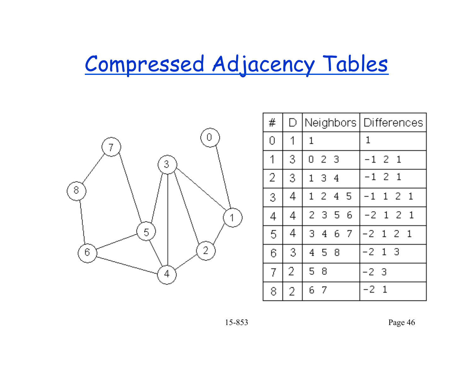# Compressed Adjacency Tables



| #              | D |                     |            | Neighbors Differences |
|----------------|---|---------------------|------------|-----------------------|
| 0              | 1 | 1                   |            | 1                     |
| 1              | 3 | 2 <sub>3</sub><br>0 |            | $-1$ 2 1              |
| $\overline{2}$ | 3 | 1                   | $3\quad 4$ | $-1$ 2 1              |
| 3              | 4 | $\mathbf{1}$        | 24<br>-5   | $1 \t2 \t1$<br>$-1$   |
| 4              | 4 |                     | 2 3 5 6    | -2121                 |
| 5              | 4 | 3<br>4              | 67         | $-2$ 1 2 1            |
| 6              | 3 | 4<br>- 5            | 8          | -21<br>-3             |
| 7              | 2 | 5<br>8              |            | -23                   |
| 8              | 2 | 6<br>- 7            |            | -2<br>-1              |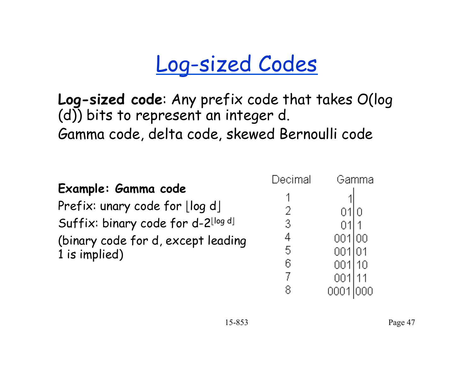# Log-sized Codes

**Log-sized code**: Any prefix code that takes O(log (d)) bits to represent an integer d. Gamma code, delta code, skewed Bernoulli code

|                                    | Decimal | Gamma  |
|------------------------------------|---------|--------|
| Example: Gamma code                |         |        |
| Prefix: unary code for $\log d$    | 2       | 0110   |
| Suffix: binary code for d-2llog dl | 3       |        |
| (binary code for d, except leading | 4       | 001100 |
| 1 is implied)                      | 5       | 001 01 |
|                                    | 6       | 001110 |
|                                    |         |        |

8.

0001 000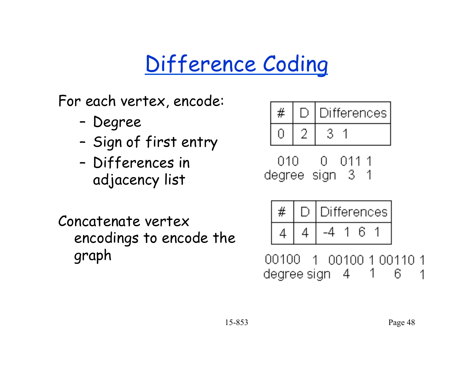# Difference Coding

For each vertex, encode:

- Degree
- Sign of first entry
- Differences in adjacency list

Concatenate vertex encodings to encode the graph



010. 0. 011 1 degree sign 3 1

|  | Differences <sup>'</sup> |  |  |  |  |  |  |
|--|--------------------------|--|--|--|--|--|--|
|  |                          |  |  |  |  |  |  |

00100 1 00100 1 00110 1 degree sign = 4 = 1 = 1 6 1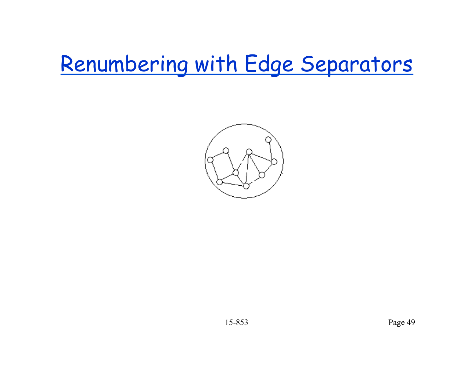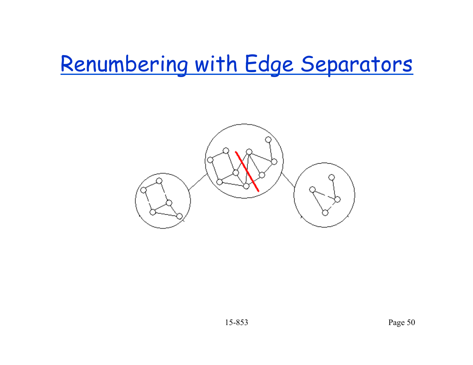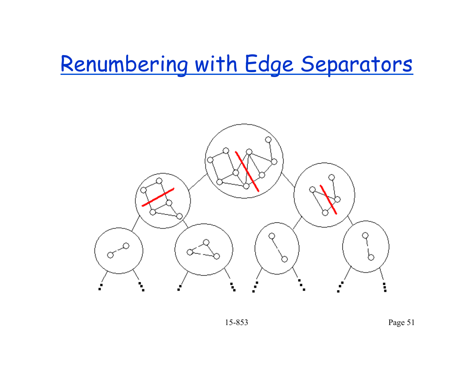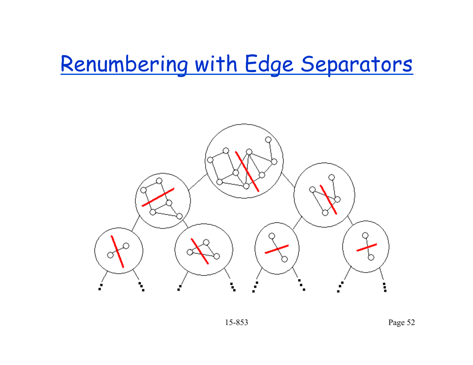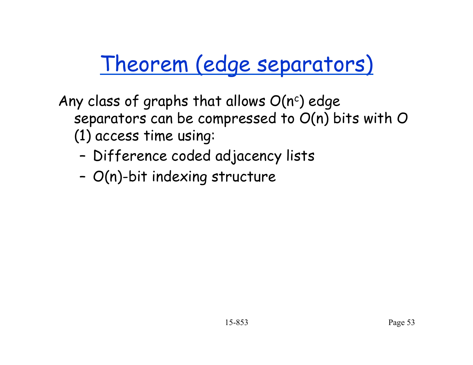# Theorem (edge separators)

Any class of graphs that allows  $O(n^c)$  edge separators can be compressed to O(n) bits with O (1) access time using:

- Difference coded adjacency lists
- O(n)-bit indexing structure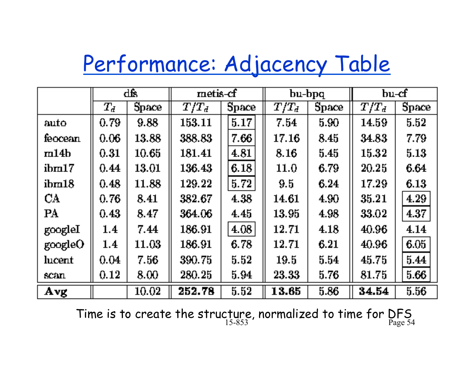# Performance: Adjacency Table

|                  | đŖ       |       | metis-cf |       | bu-bpq  |          | $bu-cf$ |       |
|------------------|----------|-------|----------|-------|---------|----------|---------|-------|
|                  | $T_d\,$  | Space | $T/T_d$  | Space | $T/T_d$ | Space    | $T/T_d$ | Space |
| auto             | 0.79     | 9.88  | 153.11   | 5.17  | 7.54    | 5.90     | 14.59   | 5.52  |
| feocean          | 0.06     | 13.88 | 388.83   | 7.66  | 17.16   | 8.45     | 34.83   | 7.79  |
| m14b             | 0.31     | 10.65 | 181.41   | 4.81  | 8.16    | $5.45\,$ | 15.32   | 5.13  |
| $\mathrm{ihm}17$ | 0.44     | 13.01 | 136.43   | 6.18  | 11.0    | 6.79     | 20.25   | 6.64  |
| ihm18            | 0.48     | 11.88 | 129.22   | 5.72  | 9.5     | 6.24     | 17.29   | 6.13  |
| CA               | 0.76     | 8.41  | 382.67   | 4.38  | 14.61   | 4.90     | 35.21   | 4.29  |
| PA               | 0.43     | 8.47  | 364.06   | 4.45  | 13.95   | 4.98     | 33.02   | 4.37  |
| googleI          | $1.4\,$  | 7.44  | 186.91   | 4.08  | 12.71   | 4.18     | 40.96   | 4.14  |
| googleO          | 1.4      | 11.03 | 186.91   | 6.78  | 12.71   | 6.21     | 40.96   | 6.05  |
| lucent           | 0.04     | 7.56  | 390.75   | 5.52  | 19.5    | 5.54     | 45.75   | 5.44  |
| scan             | $0.12\,$ | 8.00  | 280.25   | 5.94  | 23.33   | 5.76     | 81.75   | 5.66  |
| Avg              |          | 10.02 | 252.78   | 5.52  | 13.65   | 5.86     | 34.54   | 5.56  |

15-853 Page 54 Time is to create the structure, normalized to time for DFS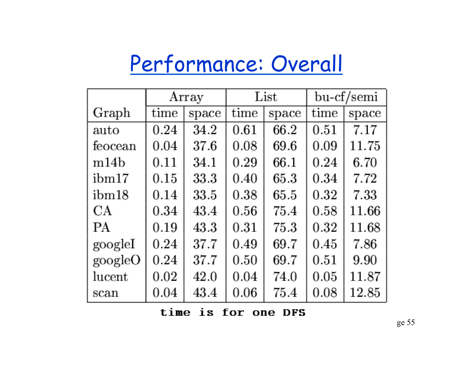# Performance: Overall

|                 | Array |       |      | List  | bu-cf/semi |       |  |
|-----------------|-------|-------|------|-------|------------|-------|--|
| Graph           | time  | space | time | space | time       | space |  |
| auto            | 0.24  | 34.2  | 0.61 | 66.2  | 0.51       | 7.17  |  |
| feocean         | 0.04  | 37.6  | 0.08 | 69.6  | 0.09       | 11.75 |  |
| m14b            | 0.11  | 34.1  | 0.29 | 66.1  | 0.24       | 6.70  |  |
| ibm17           | 0.15  | 33.3  | 0.40 | 65.3  | 0.34       | 7.72  |  |
| ibm18           | 0.14  | 33.5  | 0.38 | 65.5  | 0.32       | 7.33  |  |
| СA              | 0.34  | 43.4  | 0.56 | 75.4  | 0.58       | 11.66 |  |
| PА              | 0.19  | 43.3  | 0.31 | 75.3  | 0.32       | 11.68 |  |
| googleI         | 0.24  | 37.7  | 0.49 | 69.7  | 0.45       | 7.86  |  |
| googleO         | 0.24  | 37.7  | 0.50 | 69.7  | 0.51       | 9.90  |  |
| $_{\rm lucent}$ | 0.02  | 42.0  | 0.04 | 74.0  | 0.05       | 11.87 |  |
| scan            | 0.04  | 43.4  | 0.06 | 75.4  | 0.08       | 12.85 |  |

time is for one DFS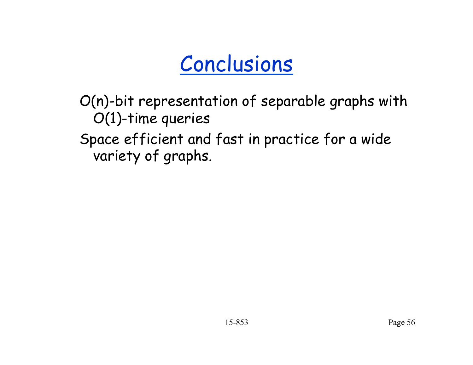# Conclusions

O(n)-bit representation of separable graphs with O(1)-time queries Space efficient and fast in practice for a wide variety of graphs.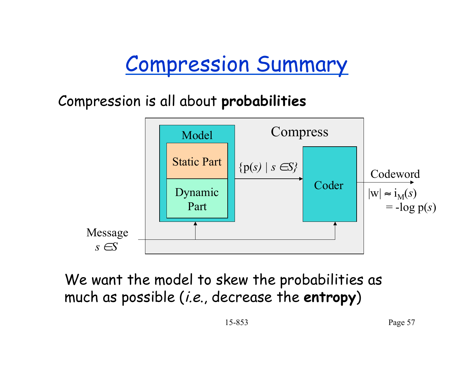## Compression Summary

Compression is all about **probabilities** 



We want the model to skew the probabilities as much as possible (i.e., decrease the **entropy**)